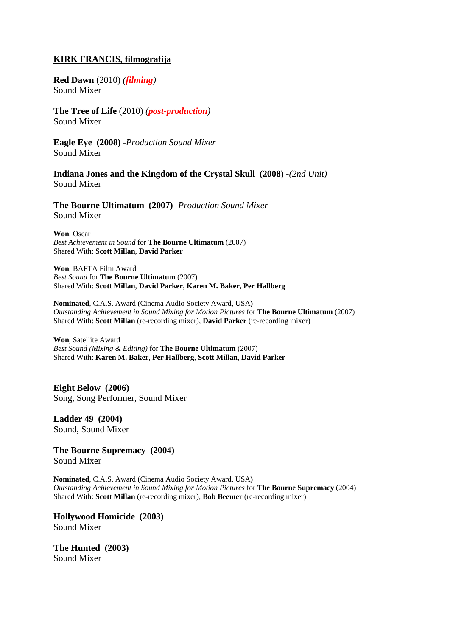# **KIRK FRANCIS, filmografija**

**Red Dawn** (2010) *(filming)* Sound Mixer

**The Tree of Life** (2010) *(post-production)* Sound Mixer

**Eagle Eye (2008)** *-Production Sound Mixer* Sound Mixer

**Indiana Jones and the Kingdom of the Crystal Skull (2008)** *-(2nd Unit)* Sound Mixer

**The Bourne Ultimatum (2007)** *-Production Sound Mixer* Sound Mixer

**Won**, Oscar *Best Achievement in Sound* for **The Bourne Ultimatum** (2007) Shared With: **Scott Millan**, **David Parker**

**Won**, BAFTA Film Award *Best Sound* for **The Bourne Ultimatum** (2007) Shared With: **Scott Millan**, **David Parker**, **Karen M. Baker**, **Per Hallberg**

**Nominated**, C.A.S. Award (Cinema Audio Society Award, USA**)**  *Outstanding Achievement in Sound Mixing for Motion Pictures* for **The Bourne Ultimatum** (2007) Shared With: **Scott Millan** (re-recording mixer), **David Parker** (re-recording mixer)

**Won**, Satellite Award *Best Sound (Mixing & Editing)* for **The Bourne Ultimatum** (2007) Shared With: **Karen M. Baker**, **Per Hallberg**, **Scott Millan**, **David Parker**

**Eight Below (2006)** Song, Song Performer, Sound Mixer

**Ladder 49 (2004)** Sound, Sound Mixer

**The Bourne Supremacy (2004)** Sound Mixer

**Nominated**, C.A.S. Award (Cinema Audio Society Award, USA**)**  *Outstanding Achievement in Sound Mixing for Motion Pictures* for **The Bourne Supremacy** (2004) Shared With: **Scott Millan** (re-recording mixer), **Bob Beemer** (re-recording mixer)

**Hollywood Homicide (2003)** Sound Mixer

**The Hunted (2003)** Sound Mixer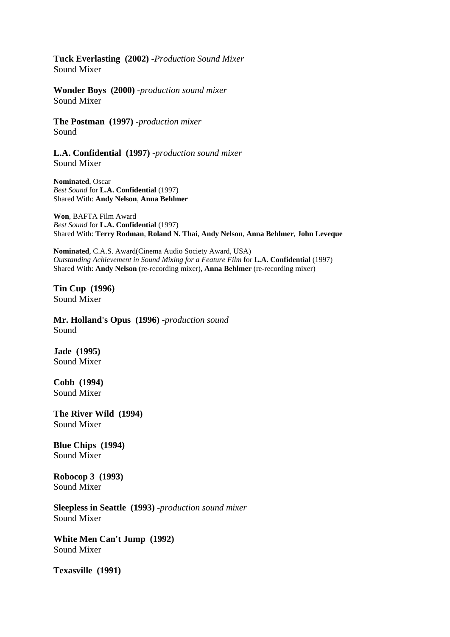**Tuck Everlasting (2002)** *-Production Sound Mixer* Sound Mixer

**Wonder Boys (2000)** *-production sound mixer* Sound Mixer

**The Postman (1997)** *-production mixer* Sound

**L.A. Confidential (1997)** *-production sound mixer* Sound Mixer

**Nominated**, Oscar *Best Sound* for **L.A. Confidential** (1997) Shared With: **Andy Nelson**, **Anna Behlmer**

**Won**, BAFTA Film Award *Best Sound* for **L.A. Confidential** (1997) Shared With: **Terry Rodman**, **Roland N. Thai**, **Andy Nelson**, **Anna Behlmer**, **John Leveque**

**Nominated**, C.A.S. Award(Cinema Audio Society Award, USA) *Outstanding Achievement in Sound Mixing for a Feature Film* for **L.A. Confidential** (1997) Shared With: **Andy Nelson** (re-recording mixer), **Anna Behlmer** (re-recording mixer)

**Tin Cup (1996)** Sound Mixer

**Mr. Holland's Opus (1996)** *-production sound* Sound

**Jade (1995)** Sound Mixer

**Cobb (1994)** Sound Mixer

**The River Wild (1994)** Sound Mixer

**Blue Chips (1994)** Sound Mixer

**Robocop 3 (1993)** Sound Mixer

**Sleepless in Seattle (1993)** *-production sound mixer* Sound Mixer

**White Men Can't Jump (1992)** Sound Mixer

**Texasville (1991)**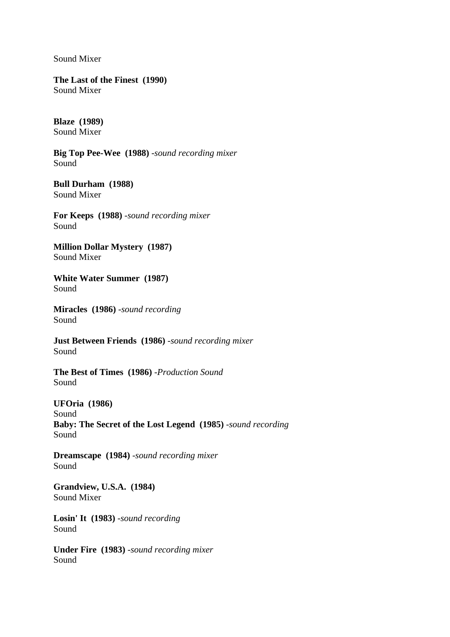Sound Mixer

**The Last of the Finest (1990)** Sound Mixer

**Blaze (1989)** Sound Mixer

**Big Top Pee-Wee (1988)** *-sound recording mixer* Sound

**Bull Durham (1988)** Sound Mixer

**For Keeps (1988)** *-sound recording mixer* Sound

**Million Dollar Mystery (1987)** Sound Mixer

**White Water Summer (1987)** Sound

**Miracles (1986)** *-sound recording* Sound

**Just Between Friends (1986)** *-sound recording mixer* Sound

**The Best of Times (1986)** *-Production Sound* Sound

**UFOria (1986)** Sound **Baby: The Secret of the Lost Legend (1985)** *-sound recording* Sound

**Dreamscape (1984)** *-sound recording mixer* Sound

**Grandview, U.S.A. (1984)** Sound Mixer

**Losin' It (1983)** *-sound recording* Sound

**Under Fire (1983)** *-sound recording mixer* Sound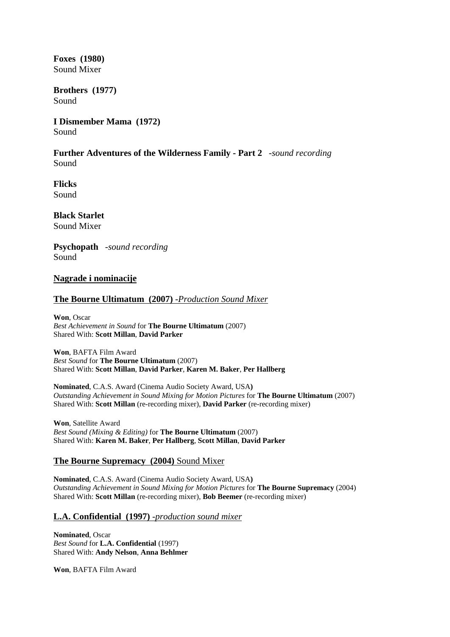**Foxes (1980)** Sound Mixer

**Brothers (1977)** Sound

**I Dismember Mama (1972)** Sound

**Further Adventures of the Wilderness Family - Part 2** *-sound recording* Sound

**Flicks** Sound

**Black Starlet** Sound Mixer

**Psychopath** *-sound recording* Sound

# **Nagrade i nominacije**

# **The Bourne Ultimatum (2007)** *-Production Sound Mixer*

**Won**, Oscar *Best Achievement in Sound* for **The Bourne Ultimatum** (2007) Shared With: **Scott Millan**, **David Parker**

**Won**, BAFTA Film Award *Best Sound* for **The Bourne Ultimatum** (2007) Shared With: **Scott Millan**, **David Parker**, **Karen M. Baker**, **Per Hallberg**

**Nominated**, C.A.S. Award (Cinema Audio Society Award, USA**)**  *Outstanding Achievement in Sound Mixing for Motion Pictures* for **The Bourne Ultimatum** (2007) Shared With: **Scott Millan** (re-recording mixer), **David Parker** (re-recording mixer)

**Won**, Satellite Award *Best Sound (Mixing & Editing)* for **The Bourne Ultimatum** (2007) Shared With: **Karen M. Baker**, **Per Hallberg**, **Scott Millan**, **David Parker**

### **The Bourne Supremacy (2004)** Sound Mixer

**Nominated**, C.A.S. Award (Cinema Audio Society Award, USA**)**  *Outstanding Achievement in Sound Mixing for Motion Pictures* for **The Bourne Supremacy** (2004) Shared With: **Scott Millan** (re-recording mixer), **Bob Beemer** (re-recording mixer)

### **L.A. Confidential (1997)** *-production sound mixer*

**Nominated**, Oscar *Best Sound* for **L.A. Confidential** (1997) Shared With: **Andy Nelson**, **Anna Behlmer**

**Won**, BAFTA Film Award